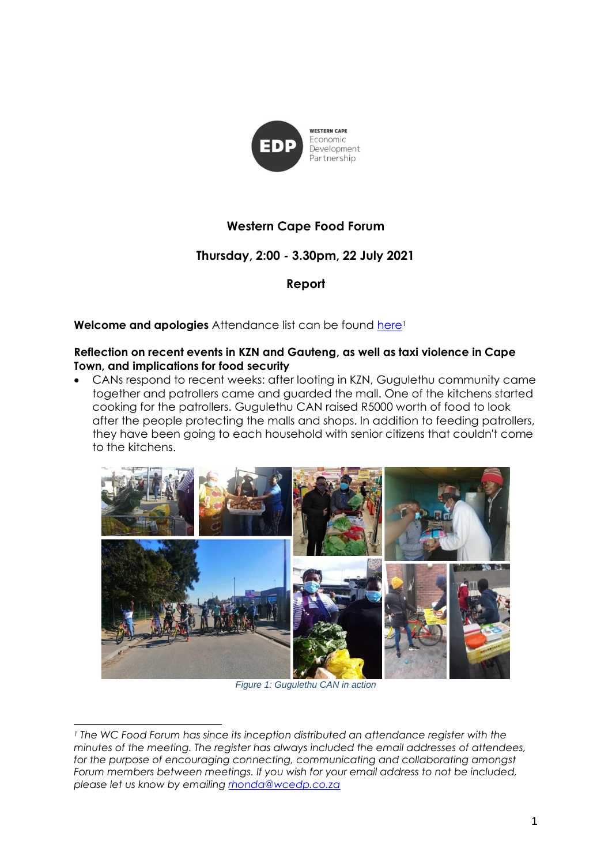

# **Western Cape Food Forum**

# **Thursday, 2:00 - 3.30pm, 22 July 2021**

**Report**

**Welcome and apologies** Attendance list can be found [here](https://drive.google.com/file/d/11WQIsZLW8nf06Q07wuIDLZE0gdW9Tmun/view?usp=sharing)<sup>1</sup>

### **Reflection on recent events in KZN and Gauteng, as well as taxi violence in Cape Town, and implications for food security**

• CANs respond to recent weeks: after looting in KZN, Gugulethu community came together and patrollers came and guarded the mall. One of the kitchens started cooking for the patrollers. Gugulethu CAN raised R5000 worth of food to look after the people protecting the malls and shops. In addition to feeding patrollers, they have been going to each household with senior citizens that couldn't come to the kitchens.



*Figure 1: Gugulethu CAN in action*

*<sup>1</sup> The WC Food Forum has since its inception distributed an attendance register with the minutes of the meeting. The register has always included the email addresses of attendees,*  for the purpose of encouraging connecting, communicating and collaborating amongst *Forum members between meetings. If you wish for your email address to not be included, please let us know by emailing [rhonda@wcedp.co.za](mailto:rhonda@wcedp.co.za)*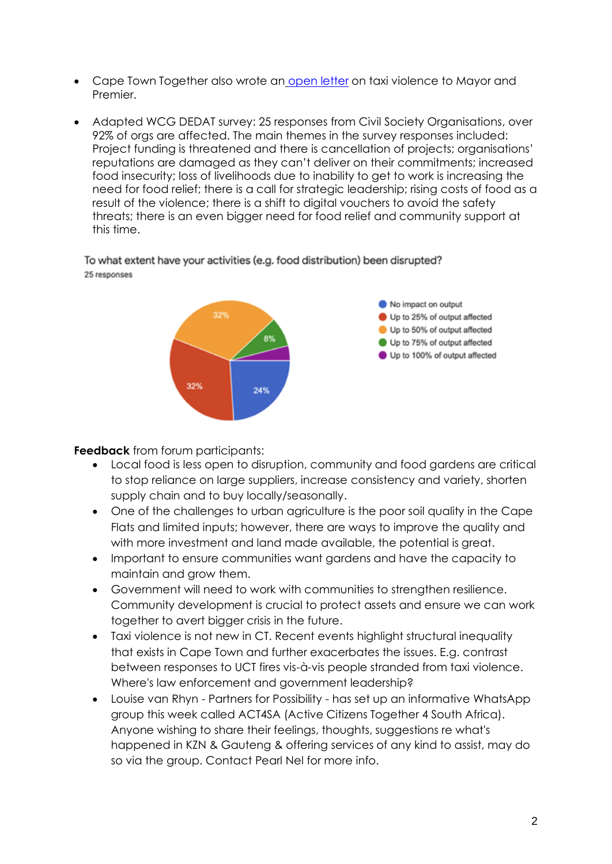- Cape Town Together also wrote an [open letter](https://capetowntogether.net/open-letter/taxi-violence) on taxi violence to Mayor and Premier.
- Adapted WCG DEDAT survey: 25 responses from Civil Society Organisations, over 92% of orgs are affected. The main themes in the survey responses included: Project funding is threatened and there is cancellation of projects; organisations' reputations are damaged as they can't deliver on their commitments; increased food insecurity; loss of livelihoods due to inability to get to work is increasing the need for food relief; there is a call for strategic leadership; rising costs of food as a result of the violence; there is a shift to digital vouchers to avoid the safety threats; there is an even bigger need for food relief and community support at this time.

To what extent have your activities (e.g. food distribution) been disrupted? 25 responses



**Feedback** from forum participants:

- Local food is less open to disruption, community and food gardens are critical to stop reliance on large suppliers, increase consistency and variety, shorten supply chain and to buy locally/seasonally.
- One of the challenges to urban agriculture is the poor soil quality in the Cape Flats and limited inputs; however, there are ways to improve the quality and with more investment and land made available, the potential is great.
- Important to ensure communities want gardens and have the capacity to maintain and grow them.
- Government will need to work with communities to strengthen resilience. Community development is crucial to protect assets and ensure we can work together to avert bigger crisis in the future.
- Taxi violence is not new in CT. Recent events highlight structural inequality that exists in Cape Town and further exacerbates the issues. E.g. contrast between responses to UCT fires vis-à-vis people stranded from taxi violence. Where's law enforcement and government leadership?
- Louise van Rhyn Partners for Possibility has set up an informative WhatsApp group this week called ACT4SA (Active Citizens Together 4 South Africa). Anyone wishing to share their feelings, thoughts, suggestions re what's happened in KZN & Gauteng & offering services of any kind to assist, may do so via the group. Contact Pearl Nel for more info.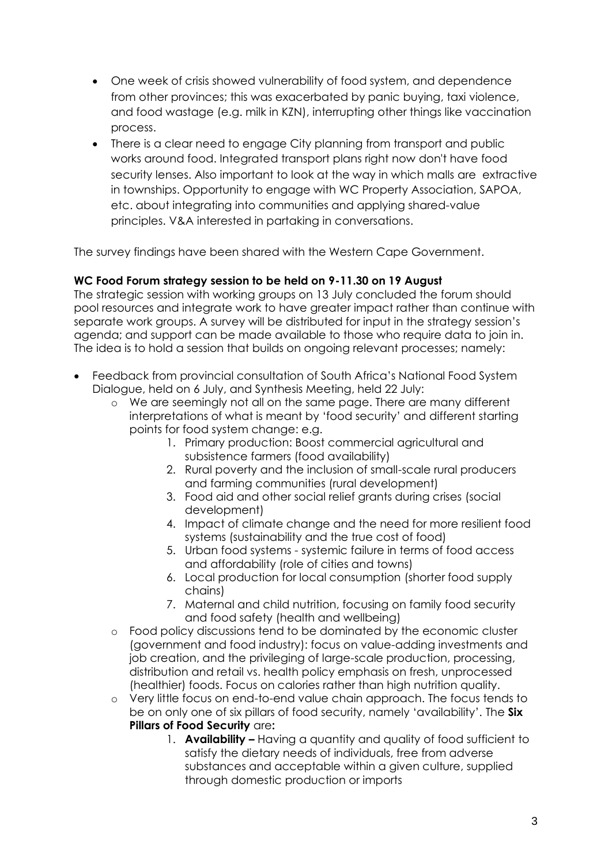- One week of crisis showed vulnerability of food system, and dependence from other provinces; this was exacerbated by panic buying, taxi violence, and food wastage (e.g. milk in KZN), interrupting other things like vaccination process.
- There is a clear need to engage City planning from transport and public works around food. Integrated transport plans right now don't have food security lenses. Also important to look at the way in which malls are extractive in townships. Opportunity to engage with WC Property Association, SAPOA, etc. about integrating into communities and applying shared-value principles. V&A interested in partaking in conversations.

The survey findings have been shared with the Western Cape Government.

## **WC Food Forum strategy session to be held on 9-11.30 on 19 August**

The strategic session with working groups on 13 July concluded the forum should pool resources and integrate work to have greater impact rather than continue with separate work groups. A survey will be distributed for input in the strategy session's agenda; and support can be made available to those who require data to join in. The idea is to hold a session that builds on ongoing relevant processes; namely:

- Feedback from provincial consultation of South Africa's National Food System Dialogue, held on 6 July, and Synthesis Meeting, held 22 July:
	- o We are seemingly not all on the same page. There are many different interpretations of what is meant by 'food security' and different starting points for food system change: e.g.
		- 1. Primary production: Boost commercial agricultural and subsistence farmers (food availability)
		- 2. Rural poverty and the inclusion of small-scale rural producers and farming communities (rural development)
		- 3. Food aid and other social relief grants during crises (social development)
		- 4. Impact of climate change and the need for more resilient food systems (sustainability and the true cost of food)
		- 5. Urban food systems systemic failure in terms of food access and affordability (role of cities and towns)
		- 6. Local production for local consumption (shorter food supply chains)
		- 7. Maternal and child nutrition, focusing on family food security and food safety (health and wellbeing)
	- o Food policy discussions tend to be dominated by the economic cluster (government and food industry): focus on value-adding investments and job creation, and the privileging of large-scale production, processing, distribution and retail vs. health policy emphasis on fresh, unprocessed (healthier) foods. Focus on calories rather than high nutrition quality.
	- o Very little focus on end-to-end value chain approach. The focus tends to be on only one of six pillars of food security, namely 'availability'. The **Six Pillars of Food Security** are**:**
		- 1. **Availability –** Having a quantity and quality of food sufficient to satisfy the dietary needs of individuals, free from adverse substances and acceptable within a given culture, supplied through domestic production or imports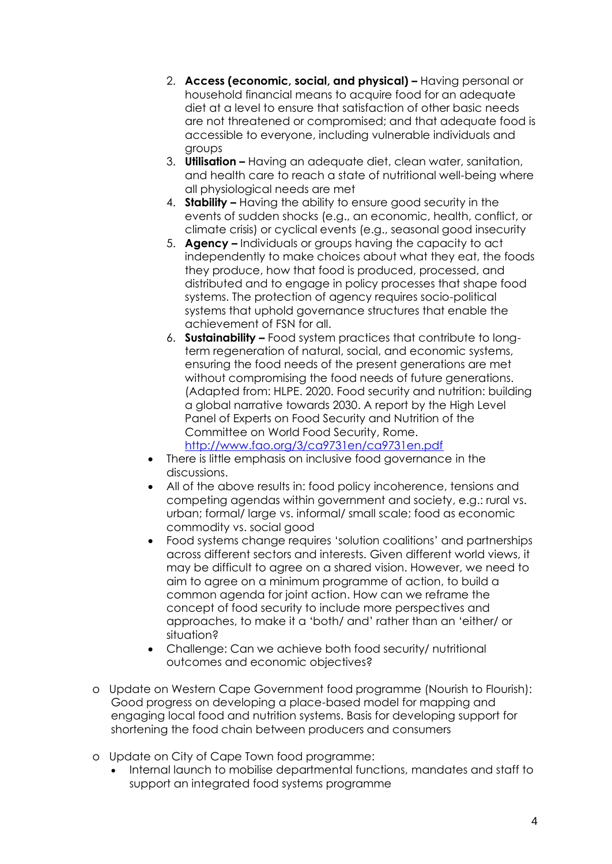- 2. **Access (economic, social, and physical) –** Having personal or household financial means to acquire food for an adequate diet at a level to ensure that satisfaction of other basic needs are not threatened or compromised; and that adequate food is accessible to everyone, including vulnerable individuals and groups
- 3. **Utilisation –** Having an adequate diet, clean water, sanitation, and health care to reach a state of nutritional well-being where all physiological needs are met
- 4. **Stability –** Having the ability to ensure good security in the events of sudden shocks (e.g., an economic, health, conflict, or climate crisis) or cyclical events (e.g., seasonal good insecurity
- 5. **Agency –** Individuals or groups having the capacity to act independently to make choices about what they eat, the foods they produce, how that food is produced, processed, and distributed and to engage in policy processes that shape food systems. The protection of agency requires socio-political systems that uphold governance structures that enable the achievement of FSN for all.
- 6. **Sustainability –** Food system practices that contribute to longterm regeneration of natural, social, and economic systems, ensuring the food needs of the present generations are met without compromising the food needs of future generations. (Adapted from: HLPE. 2020. Food security and nutrition: building a global narrative towards 2030. A report by the High Level Panel of Experts on Food Security and Nutrition of the Committee on World Food Security, Rome[.](http://www.fao.org/3/ca9731en/ca9731en.pdf) <http://www.fao.org/3/ca9731en/ca9731en.pdf>
- There is little emphasis on inclusive food governance in the discussions.
- All of the above results in: food policy incoherence, tensions and competing agendas within government and society, e.g.: rural vs. urban; formal/ large vs. informal/ small scale; food as economic commodity vs. social good
- Food systems change requires 'solution coalitions' and partnerships across different sectors and interests. Given different world views, it may be difficult to agree on a shared vision. However, we need to aim to agree on a minimum programme of action, to build a common agenda for joint action. How can we reframe the concept of food security to include more perspectives and approaches, to make it a 'both/ and' rather than an 'either/ or situation?
- Challenge: Can we achieve both food security/ nutritional outcomes and economic objectives?
- o Update on Western Cape Government food programme (Nourish to Flourish): Good progress on developing a place-based model for mapping and engaging local food and nutrition systems. Basis for developing support for shortening the food chain between producers and consumers
- o Update on City of Cape Town food programme:
	- Internal launch to mobilise departmental functions, mandates and staff to support an integrated food systems programme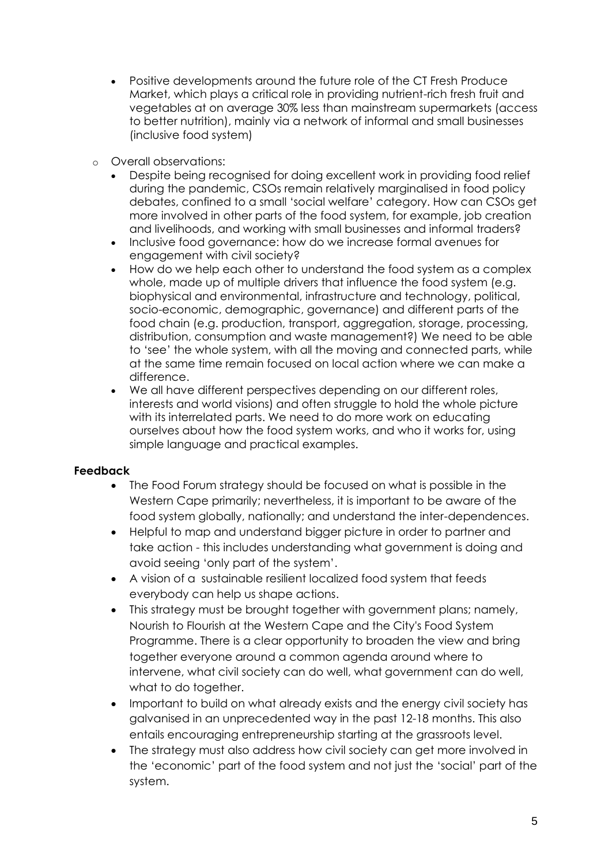- Positive developments around the future role of the CT Fresh Produce Market, which plays a critical role in providing nutrient-rich fresh fruit and vegetables at on average 30% less than mainstream supermarkets (access to better nutrition), mainly via a network of informal and small businesses (inclusive food system)
- o Overall observations:
	- Despite being recognised for doing excellent work in providing food relief during the pandemic, CSOs remain relatively marginalised in food policy debates, confined to a small 'social welfare' category. How can CSOs get more involved in other parts of the food system, for example, job creation and livelihoods, and working with small businesses and informal traders?
	- Inclusive food governance: how do we increase formal avenues for engagement with civil society?
	- How do we help each other to understand the food system as a complex whole, made up of multiple drivers that influence the food system (e.g. biophysical and environmental, infrastructure and technology, political, socio-economic, demographic, governance) and different parts of the food chain (e.g. production, transport, aggregation, storage, processing, distribution, consumption and waste management?) We need to be able to 'see' the whole system, with all the moving and connected parts, while at the same time remain focused on local action where we can make a difference.
	- We all have different perspectives depending on our different roles, interests and world visions) and often struggle to hold the whole picture with its interrelated parts. We need to do more work on educating ourselves about how the food system works, and who it works for, using simple language and practical examples.

### **Feedback**

- The Food Forum strategy should be focused on what is possible in the Western Cape primarily; nevertheless, it is important to be aware of the food system globally, nationally; and understand the inter-dependences.
- Helpful to map and understand bigger picture in order to partner and take action - this includes understanding what government is doing and avoid seeing 'only part of the system'.
- A vision of a sustainable resilient localized food system that feeds everybody can help us shape actions.
- This strategy must be brought together with government plans; namely, Nourish to Flourish at the Western Cape and the City's Food System Programme. There is a clear opportunity to broaden the view and bring together everyone around a common agenda around where to intervene, what civil society can do well, what government can do well, what to do together.
- Important to build on what already exists and the energy civil society has galvanised in an unprecedented way in the past 12-18 months. This also entails encouraging entrepreneurship starting at the grassroots level.
- The strategy must also address how civil society can get more involved in the 'economic' part of the food system and not just the 'social' part of the system.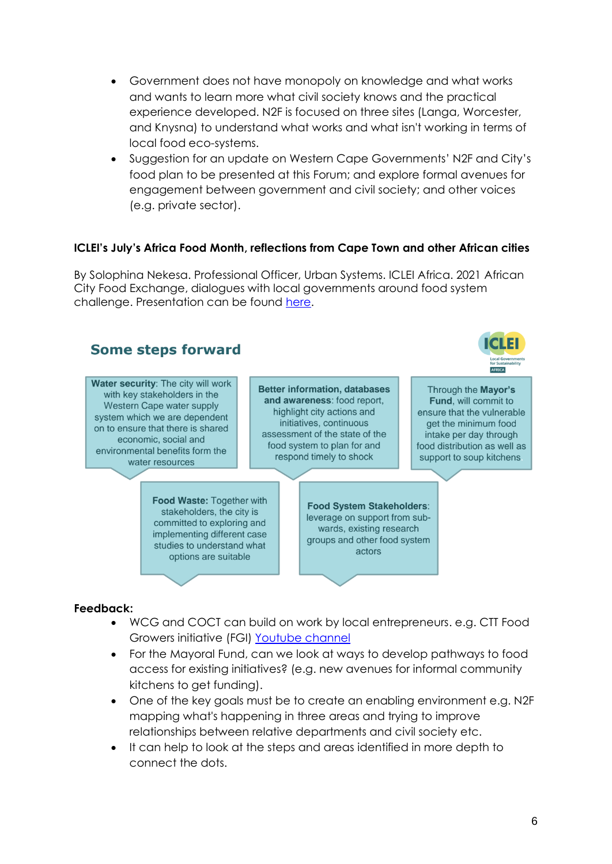- Government does not have monopoly on knowledge and what works and wants to learn more what civil society knows and the practical experience developed. N2F is focused on three sites (Langa, Worcester, and Knysna) to understand what works and what isn't working in terms of local food eco-systems.
- Suggestion for an update on Western Cape Governments' N2F and City's food plan to be presented at this Forum; and explore formal avenues for engagement between government and civil society; and other voices (e.g. private sector).

## **ICLEI's July's Africa Food Month, reflections from Cape Town and other African cities**

By Solophina Nekesa. Professional Officer, Urban Systems. ICLEI Africa. 2021 African City Food Exchange, dialogues with local governments around food system challenge. Presentation can be found [here.](https://drive.google.com/file/d/1jDiD3hohJ3n36eK2-XKfl5cZP2O6U-q_/view?usp=sharing)



### **Feedback:**

- WCG and COCT can build on work by local entrepreneurs. e.g. CTT Food Growers initiative (FGI) [Youtube channel](https://www.youtube.com/channel/UC3S5eHIVUDhY6bgrpRiJLSQ)
- For the Mayoral Fund, can we look at ways to develop pathways to food access for existing initiatives? (e.g. new avenues for informal community kitchens to get funding).
- One of the key goals must be to create an enabling environment e.g. N2F mapping what's happening in three areas and trying to improve relationships between relative departments and civil society etc.
- It can help to look at the steps and areas identified in more depth to connect the dots.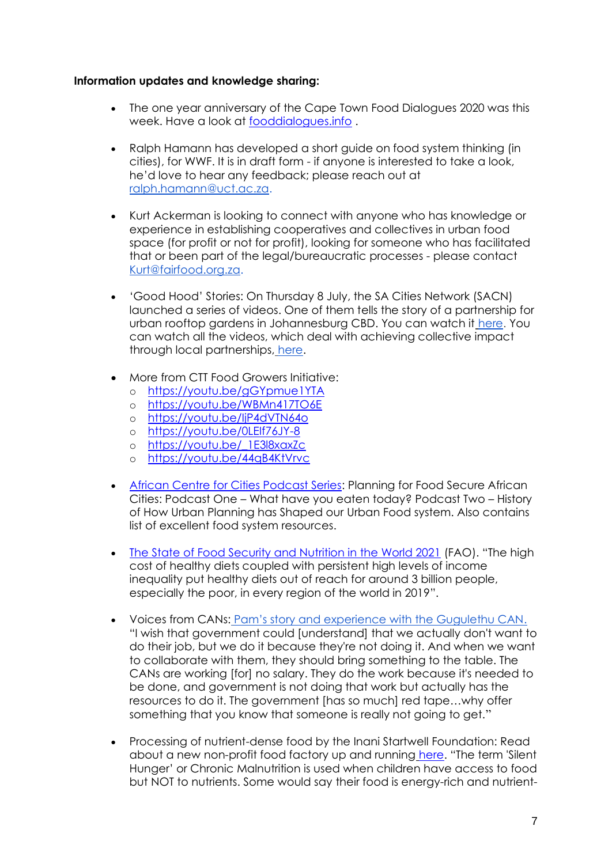#### **Information updates and knowledge sharing:**

- The one year anniversary of the Cape Town Food Dialogues 2020 was this week. Have a look at [fooddialogues.info](http://fooddialogues.info/) .
- Ralph Hamann has developed a short guide on food system thinking (in cities), for WWF. It is in draft form - if anyone is interested to take a look, he'd love to hear any feedback; please reach out at [ralph.hamann@uct.ac.za.](mailto:ralph.hamann@uct.ac.za)
- Kurt Ackerman is looking to connect with anyone who has knowledge or experience in establishing cooperatives and collectives in urban food space (for profit or not for profit), looking for someone who has facilitated that or been part of the legal/bureaucratic processes - please contact [Kurt@fairfood.org.za.](mailto:Kurt@fairfood.org.za)
- 'Good Hood' Stories: On Thursday 8 July, the SA Cities Network (SACN) launched a series of videos. One of them tells the story of a partnership for urban rooftop gardens in Johannesburg CBD. You can watch it [here.](https://www.sacities.net/joburgs-urban-agriculture-initiative/) You can watch all the videos, which deal with achieving collective impact through local partnerships, [here.](https://www.youtube.com/playlist?list=PL5ahUpcLGcncZxvLIJcRQYTQWLboQABwy)
- More from CTT Food Growers Initiative:
	- o <https://youtu.be/gGYpmue1YTA>
	- o <https://youtu.be/WBMn417TO6E>
	- o <https://youtu.be/IjP4dVTN64o>
	- o <https://youtu.be/0LEIf76JY-8>
	- o [https://youtu.be/\\_1E3l8xaxZc](https://youtu.be/_1E3l8xaxZc)
	- o <https://youtu.be/44qB4KtVrvc>
- [African Centre for Cities Podcast Series:](https://www.africancentreforcities.net/programme/planning-for-food-secure-african-cities-podcast/?fbclid=IwAR3-NPUUvAbGlVvvZA1IZjVDN903PCefFwVrUGVjrzTiyqsMA-8pkpdkRCU) Planning for Food Secure African Cities: Podcast One – What have you eaten today? Podcast Two – History of How Urban Planning has Shaped our Urban Food system. Also contains list of excellent food system resources.
- [The State of Food Security and Nutrition in the World 2021](http://www.fao.org/documents/card/en/c/cb4474en/) (FAO). "The high cost of healthy diets coupled with persistent high levels of income inequality put healthy diets out of reach for around 3 billion people, especially the poor, in every region of the world in 2019".
- Voices from CANs: [Pam's story and experience with the Gugulethu CAN](https://katicollective.com/what-were-thinking-1/cape-town-together-community-action-networks-cans-driving-hyperlocal-change). "I wish that government could [understand] that we actually don't want to do their job, but we do it because they're not doing it. And when we want to collaborate with them, they should bring something to the table. The CANs are working [for] no salary. They do the work because it's needed to be done, and government is not doing that work but actually has the resources to do it. The government [has so much] red tape…why offer something that you know that someone is really not going to get."
- Processing of nutrient-dense food by the Inani Startwell Foundation: Read about a new non-profit food factory up and running [here.](https://preview.mailerlite.com/l1k0k9/1730371593693042128/i9p1/) "The term 'Silent Hunger' or Chronic Malnutrition is used when children have access to food but NOT to nutrients. Some would say their food is energy-rich and nutrient-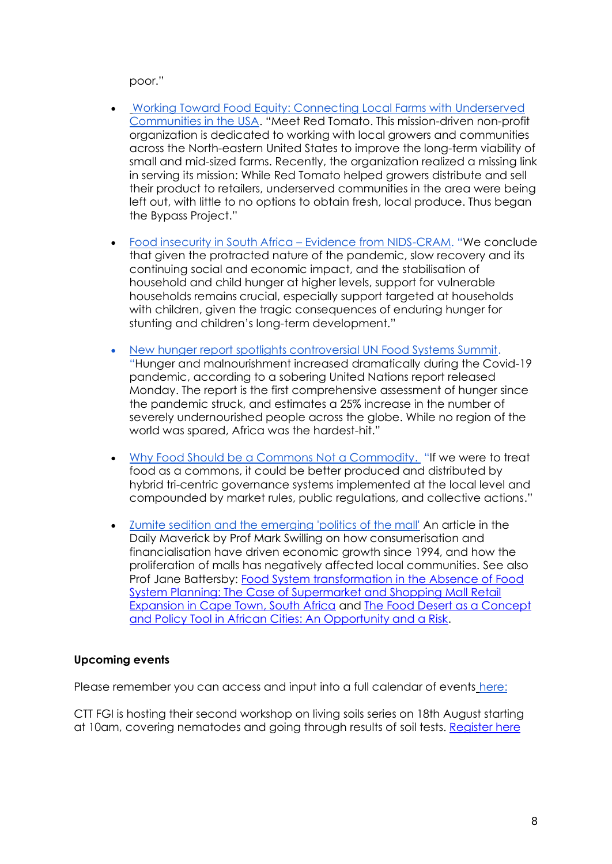poor."

- [Working Toward Food Equity: Connecting Local Farms with Underserved](https://reospartners.com/working-toward-food-equity-breaking-down-barriers-to-connect-local-farms-with-underserved-communities/)  [Communities in the USA.](https://reospartners.com/working-toward-food-equity-breaking-down-barriers-to-connect-local-farms-with-underserved-communities/) "Meet Red Tomato. This mission-driven non-profit organization is dedicated to working with local growers and communities across the North-eastern United States to improve the long-term viability of small and mid-sized farms. Recently, the organization realized a missing link in serving its mission: While Red Tomato helped growers distribute and sell their product to retailers, underserved communities in the area were being left out, with little to no options to obtain fresh, local produce. Thus began the Bypass Project."
- [Food insecurity in South Africa](https://cramsurvey.org/wp-content/uploads/2021/07/13.-Van-der-Berg-S.-Patel-L-and-Bridgeman-G.-2021-Food-insecurity-in-South-Africa-%E2%80%93-Evidence-from-NIDS-CRAM-Wave-5.pdf)  Evidence from NIDS-CRAM. "We conclude that given the protracted nature of the pandemic, slow recovery and its continuing social and economic impact, and the stabilisation of household and child hunger at higher levels, support for vulnerable households remains crucial, especially support targeted at households with children, given the tragic consequences of enduring hunger for stunting and children's long-term development."
- [New hunger report spotlights controversial UN Food Systems Summit.](https://usrtk.org/our-investigations/un-hunger-report-food-summit/?fbclid=IwAR0zW8Iy1sqKjXQUQB0q4MWqZ3rN3bc_kajfT-JIsYyeVpkLeLl4qjiqNfA) "Hunger and malnourishment increased dramatically during the Covid-19 pandemic, according to a sobering United Nations report released Monday. The report is the first comprehensive assessment of hunger since the pandemic struck, and estimates a 25% increase in the number of severely undernourished people across the globe. While no region of the world was spared, Africa was the hardest-hit."
- [Why Food Should be a Commons Not a Commodity.](https://ourworld.unu.edu/en/why-food-should-be-a-commons-not-a-commodity) "If we were to treat food as a commons, it could be better produced and distributed by hybrid tri-centric governance systems implemented at the local level and compounded by market rules, public regulations, and collective actions."
- [Zumite sedition and the emerging 'politics of the mall'](https://www.dailymaverick.co.za/article/2021-07-21-july-2021-zumite-sedition-and-the-emerging-politics-of-the-mall/?fbclid=IwAR1cPH3ZluUj7KfhuOQcoXaHlnJDJy5WBjuSIzu6g4BxG5zgcjNSEDlZ_vI) An article in the Daily Maverick by Prof Mark Swilling on how consumerisation and financialisation have driven economic growth since 1994, and how the proliferation of malls has negatively affected local communities. See also Prof Jane Battersby: [Food System transformation in the Absence of Food](https://www.ingentaconnect.com/content/alex/benv/2017/00000043/00000003/art00009)  [System Planning: The Case of Supermarket and Shopping Mall Retail](https://www.ingentaconnect.com/content/alex/benv/2017/00000043/00000003/art00009)  [Expansion in Cape Town, South Africa](https://www.ingentaconnect.com/content/alex/benv/2017/00000043/00000003/art00009) and [The Food Desert as a Concept](https://www.mdpi.com/2071-1050/11/2/458)  [and Policy Tool in African Cities: An Opportunity and a Risk.](https://www.mdpi.com/2071-1050/11/2/458)

# **Upcoming events**

Please remember you can access and input into a full calendar of events [here:](https://docs.google.com/document/d/1-6H6X74neM5ddGisqZpO0xPqnyTkyR9xL8OqkIDQQ4o/edit)

CTT FGI is hosting their second workshop on living soils series on 18th August starting at 10am, covering nematodes and going through results of soil tests. [Register here](https://us02web.zoom.us/meeting/register/tZ0odu-qqT0pHNTakVrLQHQNaRRNo399jkwF)